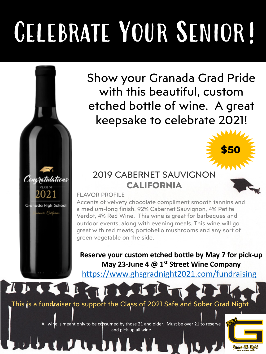## Celebrate Your Senior!

Show your Granada Grad Pride with this beautiful, custom etched bottle of wine. A great keepsake to celebrate 2021!

### 2019 CABERNET SAUVIGNON **CALIFORNIA**

### FLAVOR PROFILE

Congratulations

02

Granada High School

TIR

Accents of velvety chocolate compliment smooth tannins and a medium-long finish. 92% Cabernet Sauvignon, 4% Petite Verdot, 4% Red Wine. This wine is great for barbeques and outdoor events, along with evening meals. This wine will go great with red meats, portobello mushrooms and any sort of g[reen vegetable on the side.](https://www.ghsgradnight2021.com/fundraising)

**Reserve your custom etched bottle by May 7 for pick-up May 23-June 4 @ 1st Street Wine Company**

https://www.ghsgradnight2021.com/fundraising

### This is a fundraiser to support the Class of 2021 Safe and Sober Grad Night

All wine is meant only to be consumed by those 21 and older. Must be over 21 to reserve and pick-up all wine



**\$50**